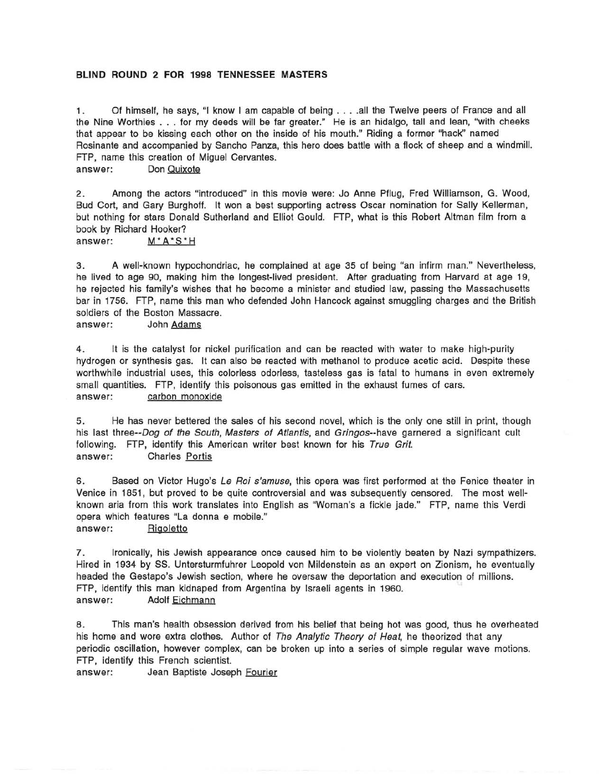## **BLIND ROUND 2 FOR 1998 TENNESSEE MASTERS**

1 . Of himself, he says, "I know I am capable of being .... all the Twelve peers of France and all the Nine Worthies ... for my deeds will be far greater." He is an hidalgo, tall and lean, "with cheeks that appear to be kissing each other on the inside of his mouth." Riding a former "hack" named Rosinante and accompanied by Sancho Panza, this hero does battle with a flock of sheep and a windmill. FTP, name this creation of Miguel Cervantes.

answer: Don Quixote

2. Among the actors "introduced" in this movie were: Jo Anne Pflug, Fred Williamson, G. Wood, Bud Cort, and Gary Burghoff. It won a best supporting actress Oscar nomination for Sally Kellerman, but nothing for stars Donald Sutherland and Elliot Gould. FTP, what is this Robert Altman film from a book by Richard Hooker?

answer: M<sup>\*</sup>A<sup>\*</sup>S<sup>\*</sup>H

3. A well-known hypochondriac, he complained at age 35 of being "an infirm man." Nevertheless, he lived to age 90, making him the longest-lived president. After graduating from Harvard at age 19, he rejected his family's wishes that he become a minister and studied law, passing the Massachusetts bar in 1756. FTP, name this man who defended John Hancock against smuggling charges and the British soldiers of the Boston Massacre.<br>answer: John Adams

4. It is the catalyst for nickel purification and can be reacted with water to make high-purity hydrogen or synthesis gas. It can also be reacted with methanol to produce acetic acid. Despite these worthwhile industrial uses, this colorless odorless, tasteless gas is fatal to humans in even extremely small quantities. FTP, identify this poisonous gas emitted in the exhaust fumes of cars. answer: carbon monoxide

5. He has never bettered the sales of his second novel, which is the only one still in print, though his last three--Dog of the South, Masters of Atlantis, and Gringos--have garnered a significant cult following. FTP, identify this American writer best known for his True Grit. answer: Charles Portis

6. Based on Victor Hugo's Le Roi s'amuse, this opera was first performed at the Fenice theater in Venice in 1851, but proved to be quite controversial and was subsequently censored. The most wellknown aria from this work translates into English as "Woman's a fickle jade." FTP, name this Verdi opera which features "La donna e mobile."

answer: Rigoletto

7. Ironically, his Jewish appearance once caused him to be violently beaten by Nazi sympathizers. Hired in 1934 by SS. Untersturmfuhrer Leopold von Mildenstein as an expert on Zionism, he eventually headed the Gestapo's Jewish section, where he oversaw the deportation and execution of millions. FTP, identify this man kidnaped from Argentina by Israeli agents in 1960. answer: Adolf Eichmann

8. This man's health obsession derived from his belief that being hot was good, thus he overheated his home and wore extra clothes. Author of The Analytic Theory of Heat, he theorized that any periodic oscillation, however complex, can be broken up into a series of simple regular wave motions. FTP, identify this French scientist.

answer: Jean Baptiste Joseph Fourier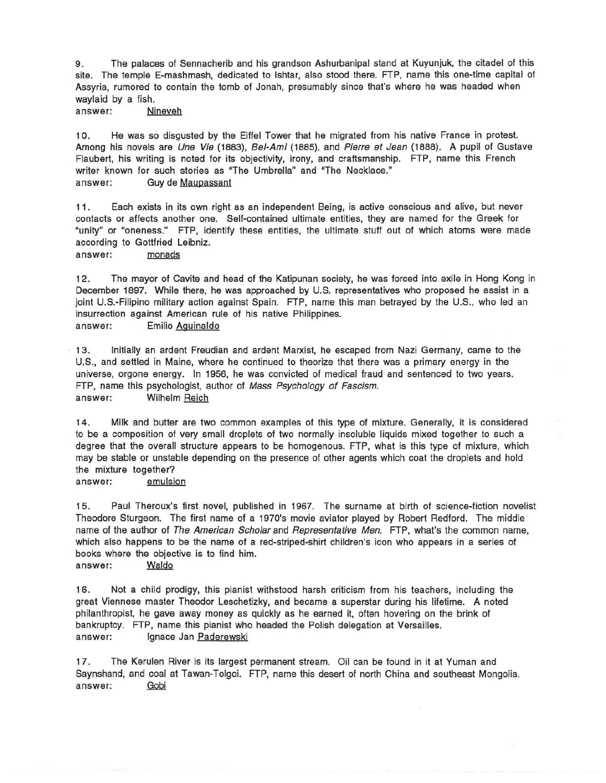9. The palaces of Sennacherib and his grandson Ashurbanipal stand at Kuyunjuk, the citadel of this site. The temple E-mashmash, dedicated to Ishtar, also stood there. FTP, name this one-time capital of Assyria, rumored to contain the tomb of Jonah, presumably since that's where he was headed when waylaid by a fish.

answer: Nineveh

10. He was so disgusted by the Eiffel Tower that he migrated from his native France in protest. Among his novels are *Une Vie* (1883), Bel-Ami (1885), and Pierre et Jean (1888). A pupil of Gustave Flaubert, his writing is noted for its objectivity, irony, and craftsmanship. FTP, name this French writer known for such stories as "The Umbrella" and "The Necklace." answer: Guy de Maupassant

11. Each exists in its own right as an independent Being, is active conscious and alive, but never contacts or affects another one. Self-contained ultimate entities, they are named for the Greek for "unity" or "oneness." FTP, identify these entities, the ultimate stuff out of which atoms were made according to Gottfried Leibniz.

answer: monads

12. The mayor of Cavite and head of the Katipunan society, he was forced into exile in Hong Kong in December 1897. While there, he was approached by U.S. representatives who proposed he assist in a joint U.S.-Filipino military action against Spain. FTP, name this man betrayed by the U.S., who led an insurrection against American rule of his native Philippines. answer: Emilio Aguinaldo

13. Initially an ardent Freudian and ardent Marxist, he escaped from Nazi Germany, came to the U.S., and settled in Maine, where he continued to theorize that there was a primary energy in the universe, orgone energy. In 1956, he was convicted of medical fraud and sentenced to two years. FTP, name this psychologist, author of Mass Psychology of Fascism. answer: Wilhelm Reich

14. Milk and butter are two common examples of this type of mixture. Generally, it is considered to be a composition of very small droplets of two normally insoluble liquids mixed together to such a degree that the overall structure appears to be homogenous. FTP, what is this type of mixture, which may be stable or unstable depending on the presence of other agents which coat the droplets and hold the mixture together?

answer: emulsion

15. Paul Theroux's first novel, published in 1967. The surname at birth of science-fiction novelist Theodore Sturgeon. The first name of a 1970's movie aviator played by Robert Redford. The middle name of the author of The American Scholar and Representative Men. FTP, what's the common name, which also happens to be the name of a red-striped-shirt children's icon who appears in a series of books where the objective is to find him. answer: Waldo

16. Not a child prodigy, this pianist withstood harsh criticism from his teachers, including the great Viennese master Theodor Leschetizky, and became a superstar during his lifetime. A noted philanthropist, he gave away money as quickly as he earned it, often hovering on the brink of bankruptcy. FTP, name this pianist who headed the Polish delegation at Versailles. answer: Ignace Jan Paderewski

17. The Kerulen River is its largest permanent stream. Oil can be found in it at Yuman and Saynshand, and coal at Tawan-Tolgoi. FTP, name this desert of north China and southeast Mongolia.<br>answer: <u>Gobi</u>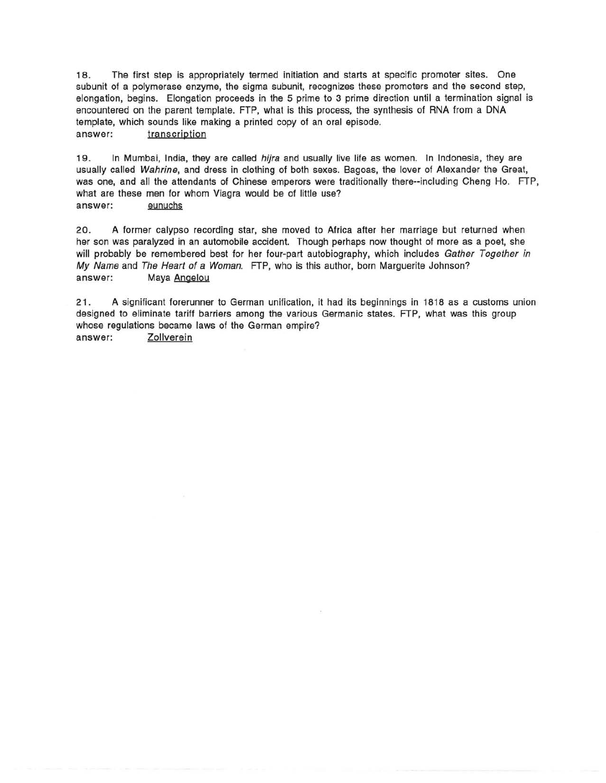1 8. The first step is appropriately termed initiation and starts at specific promoter sites. One subunit of a polymerase enzyme, the sigma subunit, recognizes these promoters and the second step, elongation, begins. Elongation proceeds in the 5 prime to 3 prime direction until a termination signal is encountered on the parent template. FTP, what is this process, the synthesis of RNA from a DNA template, which sounds like making a printed copy of an oral episode. answer: transcription

19. In Mumbai, India, they are called *hijra* and usually live life as women. In Indonesia, they are usually called Wahrine, and dress in clothing of both sexes. Bagoas, the lover of Alexander the Great, was one, and all the attendants of Chinese emperors were traditionally there--including Cheng Ho. FTP, what are these men for whom Viagra would be of little use? answer: eunuchs

20. A former calypso recording star, she moved to Africa after her marriage but returned when her son was paralyzed in an automobile accident. Though perhaps now thought of more as a poet, she will probably be remembered best for her four-part autobiography, which includes Gather Together in My Name and The Heart of a Woman. FTP, who is this author, born Marguerite Johnson? answer: Maya Angelou

21 . A significant forerunner to German unification, it had its beginnings in 1818 as a customs union designed to eliminate tariff barriers among the various Germanic states. FTP, what was this group whose regulations became laws of the German empire? answer: Zollverein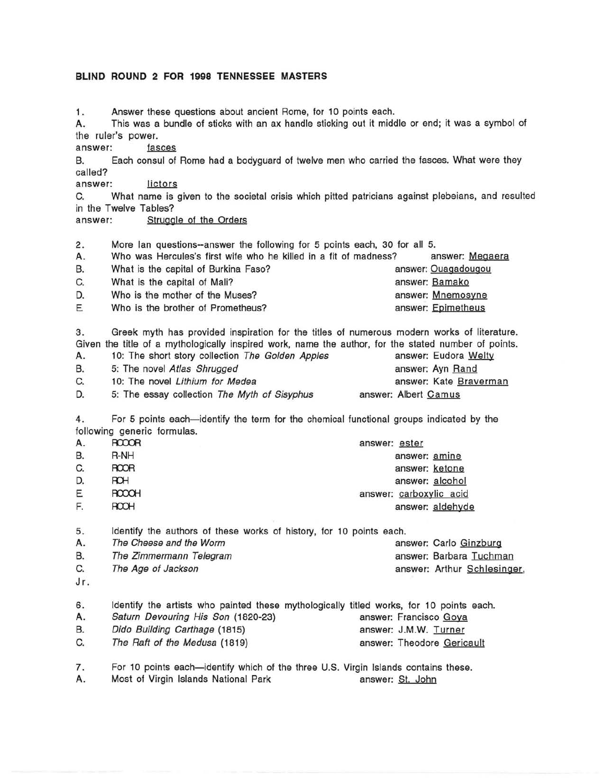## **BLIND ROUND 2 FOR 1998 TENNESSEE MASTERS**

1. Answer these questions about ancient Rome, for 10 points each.

A. This was a bundle of sticks with an ax handle sticking out it middle or end; it was a symbol of the ruler's power. answer: ~

8. Each consul of Rome had a bodyguard of twelve men who carried the fasces. What were they called? called?<br>answer: <u> lictors</u>

C. What name is given to the societal crisis which pitted patricians against plebeians, and resulted in the Twelve Tables?

answer: Struggle of the Orders

2. More Ian questions--answer the following for 5 points each, 30 for all 5.

| А. | Who was Hercules's first wife who he killed in a fit of madness? | answer: Megaera     |  |
|----|------------------------------------------------------------------|---------------------|--|
| В. | What is the capital of Burkina Faso?                             | answer: Ouagadougou |  |
| C. | What is the capital of Mali?                                     | answer: Bamako      |  |
| D. | Who is the mother of the Muses?                                  | answer: Mnemosyne   |  |
| Ε  | Who is the brother of Prometheus?                                | answer: Epimetheus  |  |

3. Greek myth has provided inspiration for the titles of numerous modern works of literature. Given the title of a mythologically inspired work, name the author, for the stated number of points.

| Α. | 10: The short story collection The Golden Apples | answer: Eudora Welty   |
|----|--------------------------------------------------|------------------------|
| В. | 5: The novel Atlas Shrugged                      | answer: Ayn Rand       |
| C. | 10: The novel Lithium for Medea                  | answer: Kate Braverman |
| D. | 5: The essay collection The Myth of Sisyphus     | answer: Albert Camus   |

4. For 5 points each-identify the term for the chemical functional groups indicated by the

|    | following generic formulas. |                         |
|----|-----------------------------|-------------------------|
| А. | <b>ROOOR</b>                | answer: ester           |
| В. | R-NH                        | answer: amine           |
| C. | <b>ROOR</b>                 | answer: ketone          |
| D. | ROH                         | answer: alcohol         |
| Ε  | <b>ROOCH</b>                | answer: carboxylic acid |
| F. | <b>ROOH</b>                 | answer: aldehyde        |

5. Identify the authors of these works of history, for 10 points each.

| answer: Carlo Ginzburg                                                   |
|--------------------------------------------------------------------------|
| answer: Barbara Tuchman                                                  |
| answer: Arthur Schlesinger,                                              |
| The Cheese and the Worm<br>The Zimmermann Telegram<br>The Age of Jackson |

Jr.

| 6. | Identify the artists who painted these mythologically titled works, for 10 points each. |                            |
|----|-----------------------------------------------------------------------------------------|----------------------------|
| А. | Saturn Devouring His Son (1820-23)                                                      | answer: Francisco Goya     |
| В. | Dido Building Carthage (1815)                                                           | answer: J.M.W. Turner      |
| C. | The Raft of the Medusa (1819)                                                           | answer: Theodore Gericault |

7. For 10 points each-identify which of the three U.S. Virgin Islands contains these.

A. Most of Virgin Islands National Park **A. A. S. Most of Virgin Islands** National Park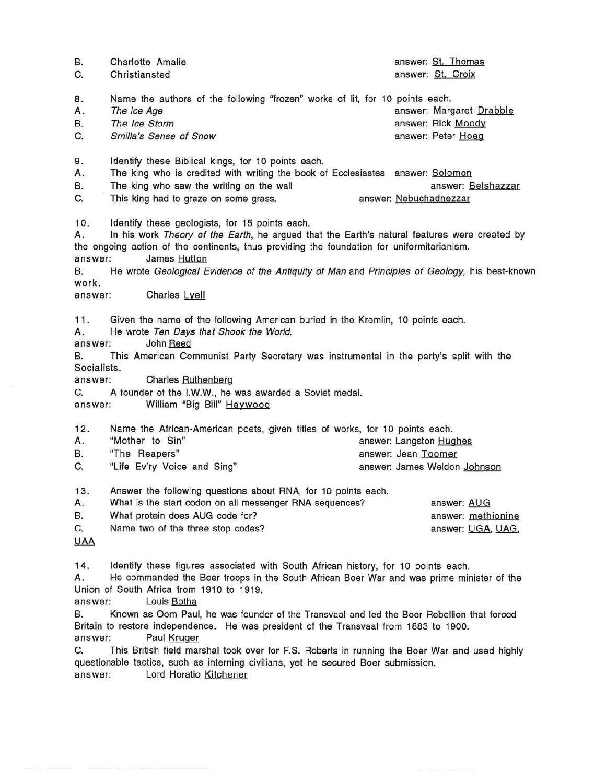| В.<br>C.                                                                                                                                                                                                                                                                                                                                                                                                                                                                               | Charlotte Amalie<br>Christiansted                                                                                                                                                                                         | answer: St. Thomas<br>answer: St. Croix                                        |  |
|----------------------------------------------------------------------------------------------------------------------------------------------------------------------------------------------------------------------------------------------------------------------------------------------------------------------------------------------------------------------------------------------------------------------------------------------------------------------------------------|---------------------------------------------------------------------------------------------------------------------------------------------------------------------------------------------------------------------------|--------------------------------------------------------------------------------|--|
| 8.<br>А.<br>В.<br>C.                                                                                                                                                                                                                                                                                                                                                                                                                                                                   | Name the authors of the following "frozen" works of lit, for 10 points each.<br>The Ice Age<br>The Ice Storm<br>Smilla's Sense of Snow                                                                                    | answer: Margaret Drabble<br>answer: Rick Moody<br>answer: Peter Hoeg           |  |
| 9.<br>Α.<br>В.<br>C.                                                                                                                                                                                                                                                                                                                                                                                                                                                                   | Identify these Biblical kings, for 10 points each.<br>The king who is credited with writing the book of Ecclesiastes answer: Solomon<br>The king who saw the writing on the wall<br>This king had to graze on some grass. | answer: Belshazzar<br>answer: Nebuchadnezzar                                   |  |
| Identify these geologists, for 15 points each.<br>10.<br>In his work Theory of the Earth, he argued that the Earth's natural features were created by<br>А.<br>the ongoing action of the continents, thus providing the foundation for uniformitarianism.<br>answer:<br>James Hutton<br>He wrote Geological Evidence of the Antiquity of Man and Principles of Geology, his best-known<br>В.<br>work.<br>Charles Lyell<br>answer:                                                      |                                                                                                                                                                                                                           |                                                                                |  |
| 11.<br>Given the name of the following American buried in the Kremlin, 10 points each.<br>А.<br>He wrote Ten Days that Shook the World.<br>John Reed<br>answer:<br>This American Communist Party Secretary was instrumental in the party's split with the<br>В.<br>Socialists.<br>Charles Ruthenberg<br>answer:<br>A founder of the I.W.W., he was awarded a Soviet medal.<br>C.<br>William "Big Bill" Haywood<br>answer:                                                              |                                                                                                                                                                                                                           |                                                                                |  |
| 12.<br>А.<br>В.<br>C.                                                                                                                                                                                                                                                                                                                                                                                                                                                                  | Name the African-American poets, given titles of works, for 10 points each.<br>"Mother to Sin"<br>"The Reapers"<br>"Life Ev'ry Voice and Sing"                                                                            | answer: Langston Hughes<br>answer: Jean Toomer<br>answer: James Weldon Johnson |  |
| 13.<br>Α.<br>В.<br>C.<br><b>UAA</b>                                                                                                                                                                                                                                                                                                                                                                                                                                                    | Answer the following questions about RNA, for 10 points each.<br>What is the start codon on all messenger RNA sequences?<br>What protein does AUG code for?<br>Name two of the three stop codes?                          | answer: AUG<br>answer: methionine<br>answer: UGA, UAG,                         |  |
| Identify these figures associated with South African history, for 10 points each.<br>14.<br>He commanded the Boer troops in the South African Boer War and was prime minister of the<br>А.<br>Union of South Africa from 1910 to 1919.<br>Louis Botha<br>answer:<br>Known as Oom Paul, he was founder of the Transvaal and led the Boer Rebellion that forced<br>В.<br>Britain to restore independence. He was president of the Transvaal from 1883 to 1900.<br>Paul Kruger<br>answer: |                                                                                                                                                                                                                           |                                                                                |  |

C. This British field marshal took over for F.S. Roberts in running the Boer War and used highly questionable tactics, such as interning civilians, yet he secured Boer submission. answer: Lord Horatio Kitchener